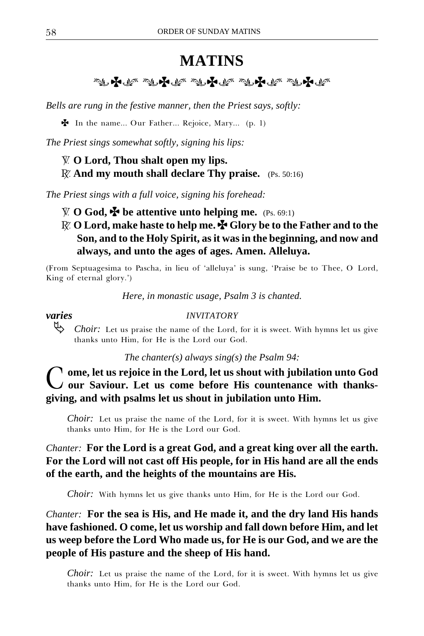## **MATINS**

\*\*\*\*\*\*\*\*\*\*\*\*\*\*\*\*\*\*\*\*\*\*\*\*\*\*\*\*\*\*\*\*

*Bells are rung in the festive manner, then the Priest says, softly:*

In the name... Our Father... Rejoice, Mary... (p. 1)

*The Priest sings somewhat softly, signing his lips:*

## **O Lord, Thou shalt open my lips.** R. And my mouth shall declare Thy praise. (Ps. 50:16)

*The Priest sings with a full voice, signing his forehead:*

## $\mathbb{V}$  **O God,**  $\mathbb{V}$  be attentive unto helping me.  $(Ps. 69:1)$

## - **O Lord, make haste to help me. Glory be to the Father and to the Son, and to the Holy Spirit, as it was in the beginning, and now and always, and unto the ages of ages. Amen. Alleluya.**

(From Septuagesima to Pascha, in lieu of 'alleluya' is sung, 'Praise be to Thee, O Lord, King of eternal glory.')

*Here, in monastic usage, Psalm 3 is chanted.*

## *varies*

#### *INVITATORY*

Choir: Let us praise the name of the Lord, for it is sweet. With hymns let us give thanks unto Him, for He is the Lord our God.  $\mathcal{P}$ 

*The chanter(s) always sing(s) the Psalm 94:*

## **ome, let us rejoice in the Lord, let us shout with jubilation unto God our Saviour. Let us come before His countenance with thanksgiving, and with psalms let us shout in jubilation unto Him.**

Choir: Let us praise the name of the Lord, for it is sweet. With hymns let us give thanks unto Him, for He is the Lord our God.

## *Chanter:* **For the Lord is a great God, and a great king over all the earth. For the Lord will not cast off His people, for in His hand are all the ends of the earth, and the heights of the mountains are His.**

Choir: With hymns let us give thanks unto Him, for He is the Lord our God.

*Chanter:* **For the sea is His, and He made it, and the dry land His hands have fashioned. O come, let us worship and fall down before Him, and let us weep before the Lord Who made us, for He is our God, and we are the people of His pasture and the sheep of His hand.**

Choir: Let us praise the name of the Lord, for it is sweet. With hymns let us give thanks unto Him, for He is the Lord our God.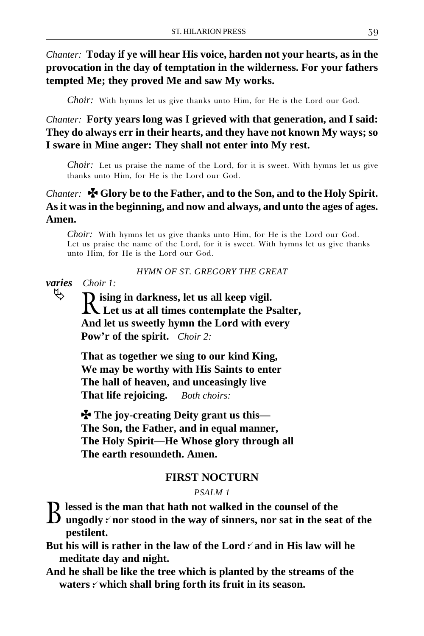*Chanter:* **Today if ye will hear His voice, harden not your hearts, as in the provocation in the day of temptation in the wilderness. For your fathers tempted Me; they proved Me and saw My works.**

Choir: With hymns let us give thanks unto Him, for He is the Lord our God.

*Chanter:* **Forty years long was I grieved with that generation, and I said: They do always err in their hearts, and they have not known My ways; so I sware in Mine anger: They shall not enter into My rest.**

Choir: Let us praise the name of the Lord, for it is sweet. With hymns let us give thanks unto Him, for He is the Lord our God.

## *Chanter:*  $\blacktriangleright$  Glory be to the Father, and to the Son, and to the Holy Spirit. **As it was in the beginning, and now and always, and unto the ages of ages. Amen.**

Choir: With hymns let us give thanks unto Him, for He is the Lord our God. Let us praise the name of the Lord, for it is sweet. With hymns let us give thanks unto Him, for He is the Lord our God.

*HYMN OF ST. GREGORY THE GREAT*

## *varies Choir 1:* Ъ

 $R$  ising in darkness, let us all keep vigil.<br>*R* Let us at all times contemplate the Psalter, **ising in darkness, let us all keep vigil. And let us sweetly hymn the Lord with every Pow'r of the spirit.** *Choir 2:*

**That as together we sing to our kind King, We may be worthy with His Saints to enter The hall of heaven, and unceasingly live That life rejoicing.** *Both choirs:*

 **The joy-creating Deity grant us this— The Son, the Father, and in equal manner, The Holy Spirit—He Whose glory through all The earth resoundeth. Amen.**

## **FIRST NOCTURN**

## *PSALM 1*

- **lessed is the man that hath not walked in the counsel of the**
- **ungodly nor stood in the way of sinners, nor sat in the seat of the pestilent.**
- **But his will is rather in the law of the Lord and in His law will he meditate day and night.**
- **And he shall be like the tree which is planted by the streams of the waters**- **which shall bring forth its fruit in its season.**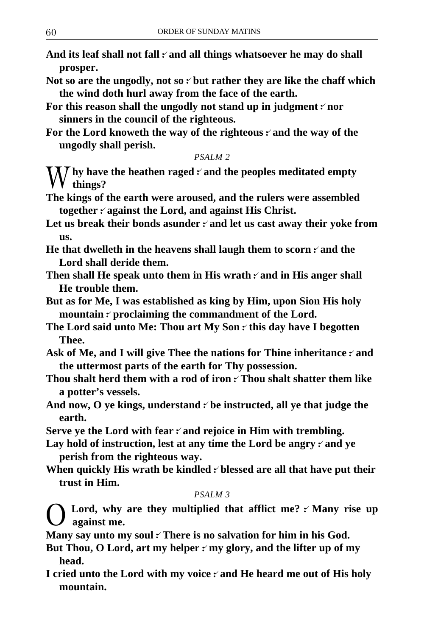- **And its leaf shall not fall and all things whatsoever he may do shall prosper.**
- **Not so are the ungodly, not so but rather they are like the chaff which the wind doth hurl away from the face of the earth.**
- **For this reason shall the ungodly not stand up in judgment**  $\cdot$  nor **sinners in the council of the righteous.**
- **For the Lord knoweth the way of the righteous and the way of the ungodly shall perish.**

*PSALM 2*

**hy** have the heathen raged : and the peoples meditated empty things? **things?**

- **The kings of the earth were aroused, and the rulers were assembled together** - **against the Lord, and against His Christ.**
- Let us break their bonds asunder  $\cdot$  and let us cast away their yoke from **us.**
- **He that dwelleth in the heavens shall laugh them to scorn and the Lord shall deride them.**
- **Then shall He speak unto them in His wrath and in His anger shall He trouble them.**
- **But as for Me, I was established as king by Him, upon Sion His holy mountain** - **proclaiming the commandment of the Lord.**
- **The Lord said unto Me: Thou art My Son** -**this day have I begotten Thee.**
- Ask of Me, and I will give Thee the nations for Thine inheritance  $\cdot$  and **the uttermost parts of the earth for Thy possession.**
- **Thou shalt herd them with a rod of iron Thou shalt shatter them like a potter's vessels.**
- **And now, O ye kings, understand be instructed, all ye that judge the earth.**

**Serve ye the Lord with fear**  $\cdot$  **and rejoice in Him with trembling.** 

Lay hold of instruction, lest at any time the Lord be angry  $\cdot$  and ye **perish from the righteous way.**

**When quickly His wrath be kindled** - **blessed are all that have put their trust in Him.**

## *PSALM 3*

 **Lord, why are they multiplied that afflict me?** : Many rise up against me. **against me.**

**Many say unto my soul**- **There is no salvation for him in his God.**

**But Thou, O Lord, art my helper** - **my glory, and the lifter up of my head.**

**I cried unto the Lord with my voice** - **and He heard me out of His holy mountain.**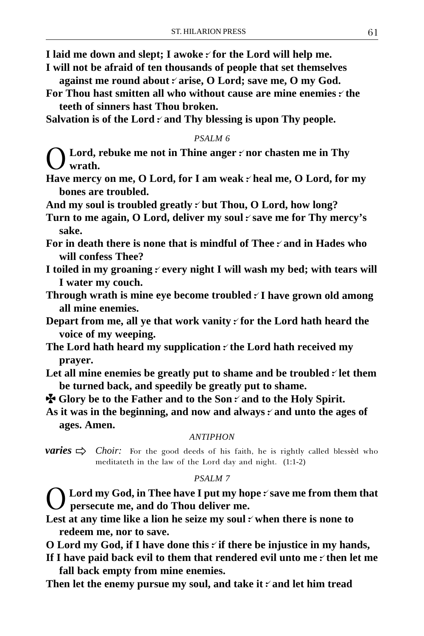**I laid me down and slept; I awoke** -**for the Lord will help me.**

**I will not be afraid of ten thousands of people that set themselves against me round about**- **arise, O Lord; save me, O my God.**

**For Thou hast smitten all who without cause are mine enemies**-**the teeth of sinners hast Thou broken.**

**Salvation is of the Lord** - **and Thy blessing is upon Thy people.**

## *PSALM 6*

 **Lord, rebuke me not in Thine anger**  $\cdot$  nor chasten me in Thy wrath. **wrath.**

**Have mercy on me, O Lord, for I am weak** - **heal me, O Lord, for my bones are troubled.**

**And my soul is troubled greatly** - **but Thou, O Lord, how long?**

- **Turn to me again, O Lord, deliver my soul save me for Thy mercy's sake.**
- **For in death there is none that is mindful of Thee and in Hades who will confess Thee?**
- will collicss Trice.<br>I toiled in my groaning *:* every night I will wash my bed; with tears will **I water my couch.**
- **Through wrath is mine eye become troubled I have grown old among all mine enemies.**
- an mine enemes.<br>Depart from me, all ye that work vanity : for the Lord hath heard the **voice of my weeping.**
- **The Lord hath heard my supplication** -**the Lord hath received my prayer.**
- **Let all mine enemies be greatly put to shame and be troubled** -**let them be turned back, and speedily be greatly put to shame.**

**Example 19 In the Father and to the Son**  $\epsilon$  and to the Holy Spirit.

As it was in the beginning, and now and always  $\cdot$  and unto the ages of **ages. Amen.**

#### *ANTIPHON*

 $varies \Rightarrow$  *Choir:* For the good deeds of his faith, he is rightly called blessed who meditateth in the law of the Lord day and night. (1:1-2)

#### *PSALM 7*

 **Lord my God, in Thee have I put my hope** -**persecute me, and do Thou deliver me.** Lord my God, in Thee have I put my hope : save me from them that

- **Lest at any time like a lion he seize my soul when there is none to redeem me, nor to save.**
- **O Lord my God, if I have done this**-**if there be injustice in my hands,**
- **If I have paid back evil to them that rendered evil unto me**  $\cdot$  **then let me fall back empty from mine enemies.**
- **Then let the enemy pursue my soul, and take it and let him tread**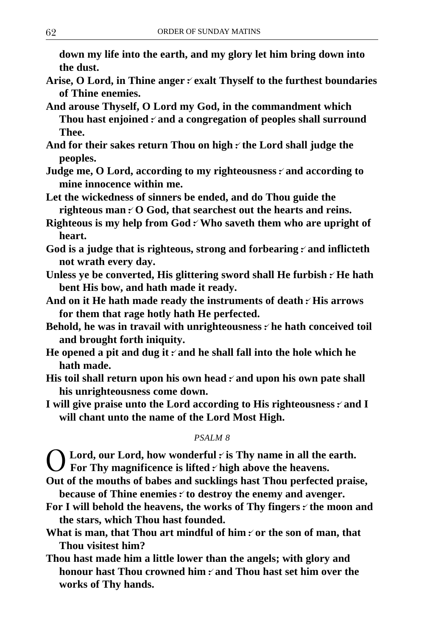**down my life into the earth, and my glory let him bring down into the dust.**

- **Arise, O Lord, in Thine anger exalt Thyself to the furthest boundaries of Thine enemies.**
- **And arouse Thyself, O Lord my God, in the commandment which Thou hast enjoined** - **and a congregation of peoples shall surround Thee.**
- **And for their sakes return Thou on high** -**the Lord shall judge the peoples.**
- **Judge me, O Lord, according to my righteousness and according to mine innocence within me.**
- **Let the wickedness of sinners be ended, and do Thou guide the righteous man** - **O God, that searchest out the hearts and reins.**
- **Righteous is my help from God Who saveth them who are upright of heart.**
- **God is a judge that is righteous, strong and forbearing and inflicteth not wrath every day.**
- Indeed what in every day.<br>
Unless ye be converted, His glittering sword shall He furbish  $\cdot$  He hath **bent His bow, and hath made it ready.**
- And on it He hath made ready the instruments of death  $\cdot$  His arrows **for them that rage hotly hath He perfected.**
- **Behold, he was in travail with unrighteousness he hath conceived toil and brought forth iniquity.**
- **He opened a pit and dug it and he shall fall into the hole which he hath made.**
- **His toil shall return upon his own head and upon his own pate shall his unrighteousness come down.**
- **I will give praise unto the Lord according to His righteousness and I will chant unto the name of the Lord Most High.**

#### *PSALM 8*

 **Lord, our Lord, how wonderful** ₹ is Thy name in all the earth.<br> **O** For Thy magnificence is lifted ₹ high above the heavens. **For Thy magnificence is lifted** - **high above the heavens.**

**Out of the mouths of babes and sucklings hast Thou perfected praise, because of Thine enemies**-**to destroy the enemy and avenger.**

- **For I will behold the heavens, the works of Thy fingers**-**the moon and the stars, which Thou hast founded.**
- **What is man, that Thou art mindful of him**  $\cdot$  or the son of man, that **Thou visitest him?**
- **Thou hast made him a little lower than the angels; with glory and honour hast Thou crowned him** - **and Thou hast set him over the works of Thy hands.**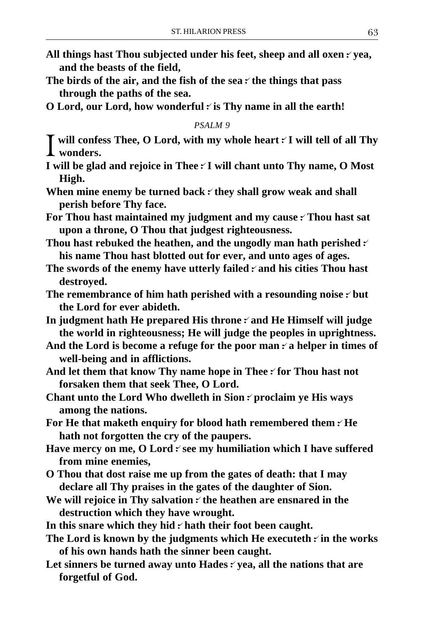- **All things hast Thou subjected under his feet, sheep and all oxen yea, and the beasts of the field,**
- **The birds of the air, and the fish of the sea** -**the things that pass through the paths of the sea.**
- **O Lord, our Lord, how wonderful**-**is Thy name in all the earth!**

*PSALM 9*

- Will confess Thee, O Lord, with my whole heart : I will tell of all Thy wonders. **wonders.**
- **I will be glad and rejoice in Thee I will chant unto Thy name, O Most High.**
- **When mine enemy be turned back : they shall grow weak and shall perish before Thy face.**
- **For Thou hast maintained my judgment and my cause Thou hast sat upon a throne, O Thou that judgest righteousness.**
- **Thou hast rebuked the heathen, and the ungodly man hath perished his name Thou hast blotted out for ever, and unto ages of ages.**
- **The swords of the enemy have utterly failed and his cities Thou hast destroyed.**
- **The remembrance of him hath perished with a resounding noise but the Lord for ever abideth.**
- **In judgment hath He prepared His throne and He Himself will judge the world in righteousness; He will judge the peoples in uprightness.**
- And the Lord is become a refuge for the poor man  $\cdot$  a helper in times of **well-being and in afflictions.**
- **And let them that know Thy name hope in Thee** -**for Thou hast not forsaken them that seek Thee, O Lord.**
- **Chant unto the Lord Who dwelleth in Sion proclaim ye His ways among the nations.**
- among the nations.<br>For He that maketh enquiry for blood hath remembered them **:** He **hath not forgotten the cry of the paupers.**
- **Have mercy on me, O Lord see my humiliation which I have suffered from mine enemies,**
- **O Thou that dost raise me up from the gates of death: that I may declare all Thy praises in the gates of the daughter of Sion.**
- **We will rejoice in Thy salvation** -**the heathen are ensnared in the destruction which they have wrought.**
- **In this snare which they hid hath their foot been caught.**
- **The Lord is known by the judgments which He executeth** -**in the works of his own hands hath the sinner been caught.**
- **Let sinners be turned away unto Hades yea, all the nations that are forgetful of God.**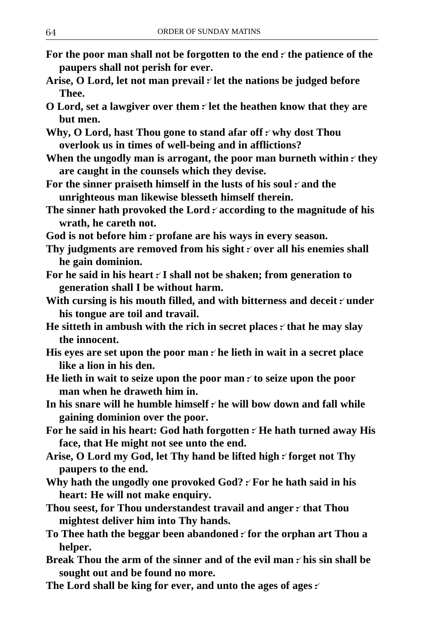- **For the poor man shall not be forgotten to the end** -**the patience of the paupers shall not perish for ever.**
- **Arise, O Lord, let not man prevail**-**let the nations be judged before Thee.**
- **O** Lord, set a lawgiver over them : let the heathen know that they are **but men.**
- **Why, O Lord, hast Thou gone to stand afar off why dost Thou overlook us in times of well-being and in afflictions?**
- When the ungodly man is arrogant, the poor man burneth within  $\cdot$  they **are caught in the counsels which they devise.**
- **For the sinner praiseth himself in the lusts of his soul**  $\cdot$  **and the unrighteous man likewise blesseth himself therein.**
- **The sinner hath provoked the Lord according to the magnitude of his wrath, he careth not.**
- **God is not before him profane are his ways in every season.**
- **Thy judgments are removed from his sight**  $\cdot$  over all his enemies shall **he gain dominion.**
- **For he said in his heart I shall not be shaken; from generation to generation shall I be without harm.**
- **With cursing is his mouth filled, and with bitterness and deceit under his tongue are toil and travail.**
- **He sitteth in ambush with the rich in secret places**-**that he may slay the innocent.**
- **His eyes are set upon the poor man**  $\cdot$  he lieth in wait in a secret place **like a lion in his den.**
- **He lieth in wait to seize upon the poor man**  $\epsilon$  to seize upon the poor **man when he draweth him in.**
- **In his snare will he humble himself he will bow down and fall while gaining dominion over the poor.**
- **For he said in his heart: God hath forgotten He hath turned away His face, that He might not see unto the end.**
- Arise, O Lord my God, let Thy hand be lifted high  $\cdot$  forget not Thy **paupers to the end.**
- **Why hath the ungodly one provoked God? For he hath said in his heart: He will not make enquiry.**
- **Thou seest, for Thou understandest travail and anger**  $\cdot$  **that Thou mightest deliver him into Thy hands.**
- **To Thee hath the beggar been abandoned** -**for the orphan art Thou a helper.**
- **Break Thou the arm of the sinner and of the evil man**  $\cdot$  **his sin shall be sought out and be found no more.**
- **The Lord shall be king for ever, and unto the ages of ages**-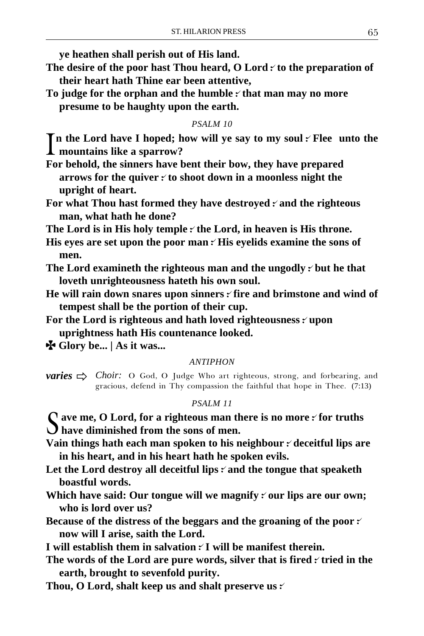**ye heathen shall perish out of His land.**

- **The desire of the poor hast Thou heard, O Lord** -**to the preparation of their heart hath Thine ear been attentive,**
- **To judge for the orphan and the humble** -**that man may no more presume to be haughty upon the earth.**

#### *PSALM 10*

In the Lord have I hoped; how will ye say to my soul : Flee unto the mountains like a sparrow? **mountains like a sparrow?**

- **For behold, the sinners have bent their bow, they have prepared arrows for the quiver** -**to shoot down in a moonless night the upright of heart.**
- **For what Thou hast formed they have destroyed and the righteous man, what hath he done?**

**The Lord is in His holy temple** -**the Lord, in heaven is His throne.**

- **His eyes are set upon the poor man**  $\cdot$  **His eyelids examine the sons of men.**
- **The Lord examineth the righteous man and the ungodly but he that loveth unrighteousness hateth his own soul.**
- **He will rain down snares upon sinners**-**fire and brimstone and wind of tempest shall be the portion of their cup.**

**For the Lord is righteous and hath loved righteousness**- **upon uprightness hath His countenance looked.**

 **Glory be... | As it was...**

#### *ANTIPHON*

 $varies \Rightarrow$  *Choir*: O God, O Judge Who art righteous, strong, and forbearing, and gracious, defend in Thy compassion the faithful that hope in Thee. (7:13)

### *PSALM 11*

S ave me, O Lord, for a righteous man there is no more  $\cdot$  for truths<br>S have diminished from the sons of men. **have diminished from the sons of men.**

- **V** have diminished from the sons of men.<br>Vain things hath each man spoken to his neighbour  $\cdot$  deceitful lips are **in his heart, and in his heart hath he spoken evils.**
- **Let the Lord destroy all deceitful lips and the tongue that speaketh boastful words.**
- **Which have said: Our tongue will we magnify our lips are our own; who is lord over us?**
- **Because of the distress of the beggars and the groaning of the poor now will I arise, saith the Lord.**

**I will establish them in salvation** - **I will be manifest therein.**

- **The words of the Lord are pure words, silver that is fired**  $\cdot$  **tried in the earth, brought to sevenfold purity.**
- **Thou, O Lord, shalt keep us and shalt preserve us**-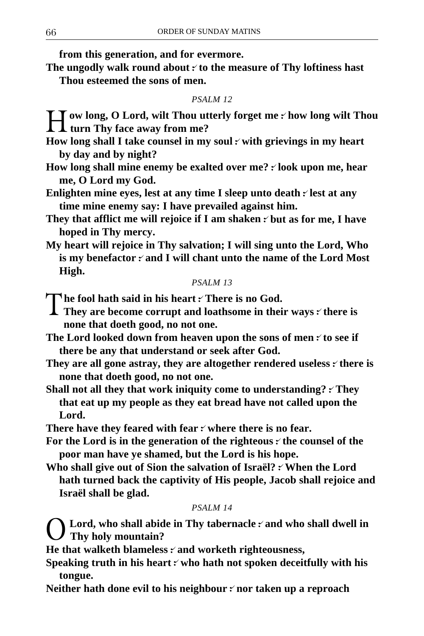**from this generation, and for evermore.**

**The ungodly walk round about**-**to the measure of Thy loftiness hast Thou esteemed the sons of men.**

#### *PSALM 12*

- **definition** wilt Thou utterly forget me : how long wilt Thou turn Thy face away from me? **turn Thy face away from me?**
- **How long shall I take counsel in my soul with grievings in my heart by day and by night?**
- **How long shall mine enemy be exalted over me?** -**look upon me, hear me, O Lord my God.**
- **Enlighten mine eyes, lest at any time I sleep unto death : lest at any time mine enemy say: I have prevailed against him.**
- **They that afflict me will rejoice if I am shaken but as for me, I have hoped in Thy mercy.**
- **My heart will rejoice in Thy salvation; I will sing unto the Lord, Who is my benefactor** - **and I will chant unto the name of the Lord Most High.**

#### *PSALM 13*

The fool hath said in his heart : There is no God.<br>They are become corrupt and loathsome in their ways : there is **none that doeth good, no not one.**

**The Lord looked down from heaven upon the sons of men** -**to see if there be any that understand or seek after God.**

- **They are all gone astray, they are altogether rendered useless**-**there is none that doeth good, no not one.**
- **Shall not all they that work iniquity come to understanding?**  $\cdot$  They **that eat up my people as they eat bread have not called upon the Lord.**

**There have they feared with fear : where there is no fear.** 

For the Lord is in the generation of the righteous : the counsel of the **poor man have ye shamed, but the Lord is his hope.**

**Who shall give out of Sion the salvation of Israël?** - **When the Lord hath turned back the captivity of His people, Jacob shall rejoice and Israël shall be glad.**

## *PSALM 14*

 **Lord, who shall abide in Thy tabernacle** : and who shall dwell in<br>
Thy holy mountain? **Thy holy mountain?**

**He that walketh blameless**- **and worketh righteousness,**

**Speaking truth in his heart**- **who hath not spoken deceitfully with his tongue.**

**Neither hath done evil to his neighbour** - **nor taken up a reproach**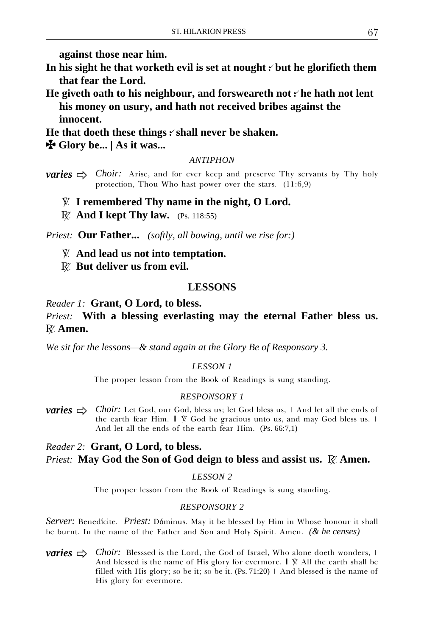against those near him.

- In his sight he that worketh evil is set at nought  $\cdot$  but he glorifieth them that fear the Lord.
- He giveth oath to his neighbour, and forsweareth not : he hath not lent his money on usury, and hath not received bribes against the innocent.
- He that doeth these things : shall never be shaken.

Glory be... | As it was...

#### **ANTIPHON**

- **varies**  $\implies$  *Choir*: Arise, and for ever keep and preserve Thy servants by Thy holy protection, Thou Who hast power over the stars.  $(11:6,9)$ 
	- $V.$  I remembered Thy name in the night, O Lord.
	- $R\hat{X}$ . And I kept Thy law. (Ps. 118:55)

Priest: Our Father... (softly, all bowing, until we rise for:)

- $\mathbf{W}$ . And lead us not into temptation.
- $R$ . But deliver us from evil.

## **LESSONS**

#### Reader 1: Grant, O Lord, to bless.

## Priest: With a blessing everlasting may the eternal Father bless us.  $R$ . Amen.

We sit for the lessons—& stand again at the Glory Be of Responsory 3.

#### LESSON 1

The proper lesson from the Book of Readings is sung standing.

#### **RESPONSORY 1**

**varies**  $\Rightarrow$  *Choir*: Let God, our God, bless us; let God bless us, 1 And let all the ends of the earth fear Him.  $\mathbb{I} \nabla$  God be gracious unto us, and may God bless us. I And let all the ends of the earth fear Him. (Ps. 66:7,1)

## Reader 2: Grant, O Lord, to bless. *Priest:* May God the Son of God deign to bless and assist us. R. Amen.

#### LESSON<sub>2</sub>

The proper lesson from the Book of Readings is sung standing.

#### **RESPONSORY 2**

Server: Benedicite. Priest: Dóminus. May it be blessed by Him in Whose honour it shall be burnt. In the name of the Father and Son and Holy Spirit. Amen. (& he censes)

**varies**  $\Rightarrow$  *Choir*: Blesssed is the Lord, the God of Israel, Who alone doeth wonders, I And blessed is the name of His glory for evermore. I  $\mathbb{V}$  All the earth shall be filled with His glory; so be it; so be it.  $(Ps. 71:20)$  | And blessed is the name of His glory for evermore.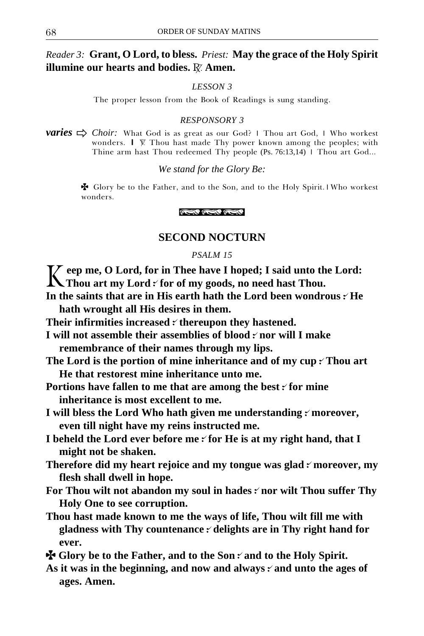## *Reader 3:* **Grant, O Lord, to bless.** *Priest:* **May the grace of the Holy Spirit** illumine our hearts and bodies. R. Amen.

#### *LESSON 3*

The proper lesson from the Book of Readings is sung standing.

#### *RESPONSORY 3*

*varies*  $\Rightarrow$  *Choir:* What God is as great as our God? | Thou art God, | Who workest *Choir*: What God is as great as our God? | Thou art God, | Who workest wonders. |  $\check{X}$  Thou hast made Thy power known among the peoples; with Thine arm hast Thou redeemed Thy people (Ps. 76:13,14) | Thou art God...

*We stand for the Glory Be:*

☆ Glory be to the Father, and to the Son, and to the Holy Spirit. I Who workest wonders.



## **SECOND NOCTURN**

#### *PSALM 15*

K eep me, O Lord, for in Thee have I hoped; I said unto th<br>Thou art my Lord : for of my goods, no need hast Thou. **eep me, O Lord, for in Thee have I hoped; I said unto the Lord:**

In the saints that are in His earth hath the Lord been wondrous : He **hath wrought all His desires in them.**

**Their infirmities increased** -**thereupon they hastened.**

- **I will not assemble their assemblies of blood nor will I make remembrance of their names through my lips.**
- **The Lord is the portion of mine inheritance and of my cup**  $\cdot$  Thou art **He that restorest mine inheritance unto me.**
- **Portions have fallen to me that are among the best**: for mine **inheritance is most excellent to me.**
- I will bless the Lord Who hath given me understanding  $\cdot$  moreover, **even till night have my reins instructed me.**
- **I beheld the Lord ever before me** -**for He is at my right hand, that I might not be shaken.**
- **Therefore did my heart rejoice and my tongue was glad moreover, my flesh shall dwell in hope.**
- **For Thou wilt not abandon my soul in hades nor wilt Thou suffer Thy Holy One to see corruption.**
- **Thou hast made known to me the ways of life, Thou wilt fill me with gladness with Thy countenance** - **delights are in Thy right hand for ever.**

◆ Glory be to the Father, and to the Son <sup>2</sup> and to the Holy Spirit.

**As it was in the beginning, and now and always**- **and unto the ages of ages. Amen.**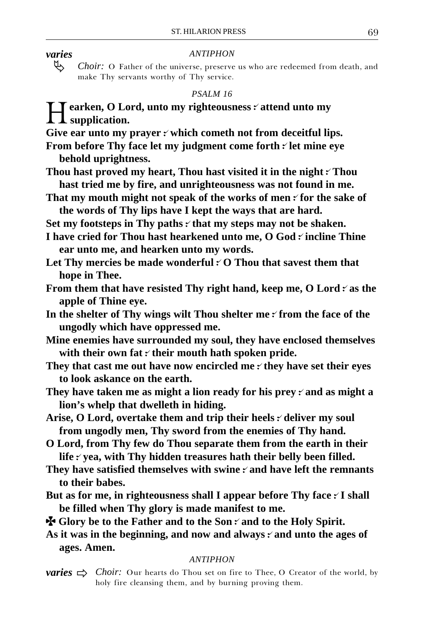#### *varies*

#### *ANTIPHON*

Ŀ,

Choir: O Father of the universe, preserve us who are redeemed from death, and make Thy servants worthy of Thy service.

#### *PSALM 16*

## **earken, O Lord, unto my righteousness**: attend unto my supplication. **supplication.**

**Give ear unto my prayer : which cometh not from deceitful lips.** 

- **From before Thy face let my judgment come forth** -**let mine eye behold uprightness.**
- **Thou hast proved my heart, Thou hast visited it in the night**  $\cdot$  **Thou hast tried me by fire, and unrighteousness was not found in me.**
- **That my mouth might not speak of the works of men** -**for the sake of the words of Thy lips have I kept the ways that are hard.**

**Set my footsteps in Thy paths**-**that my steps may not be shaken.**

- **I** have cried for Thou hast hearkened unto me, O God  $\cdot$  incline Thine **ear unto me, and hearken unto my words.**
- Let Thy mercies be made wonderful  $\leq O$  Thou that savest them that **hope in Thee.**
- **From them that have resisted Thy right hand, keep me, O Lord**  $\cdot$  **as the apple of Thine eye.**

**In the shelter of Thy wings wilt Thou shelter me**  $\cdot$  from the face of the **ungodly which have oppressed me.**

**Mine enemies have surrounded my soul, they have enclosed themselves with their own fat**-**their mouth hath spoken pride.**

**They that cast me out have now encircled me** -**they have set their eyes to look askance on the earth.**

**They have taken me as might a lion ready for his prey** - **and as might a lion's whelp that dwelleth in hiding.**

**Arise, O Lord, overtake them and trip their heels**- **deliver my soul from ungodly men, Thy sword from the enemies of Thy hand.**

**O Lord, from Thy few do Thou separate them from the earth in their life** - **yea, with Thy hidden treasures hath their belly been filled.**

- **They have satisfied themselves with swine and have left the remnants to their babes.**
- **But as for me, in righteousness shall I appear before Thy face : I shall be filled when Thy glory is made manifest to me.**
- **EXAMPLE THE SOLUTE STAND IS MADE MANIFEST TO THE GLORY BETS GROUP** Spirit.
- **As it was in the beginning, and now and always and unto the ages of ages. Amen.**

#### *ANTIPHON*

*varies*  $\Rightarrow$  *Choir:* Our hearts do Thou set on fire to Thee, O Creator of the world, by holy fire cleansing them, and by burning proving them.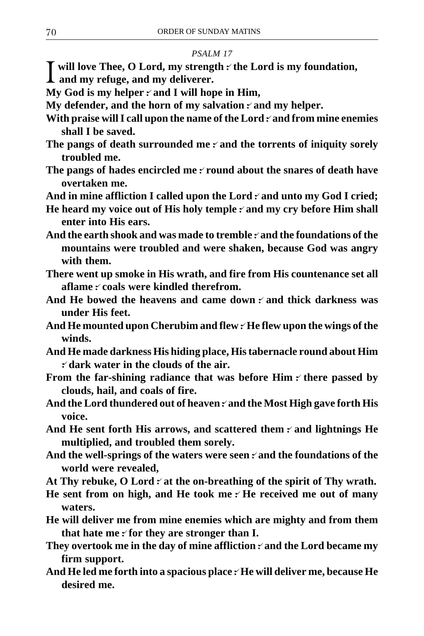#### *PSALM 17*

- **J** will love Thee, O Lord, my streng<br>and my refuge, and my deliverer. will love Thee, O Lord, my strength : the Lord is my foundation,
- 
- **My God is my helper and I will hope in Him,**
- **My defender, and the horn of my salvation and my helper.**
- **With praise will I call upon the name of the Lord and from mine enemies shall I be saved.**
- **The pangs of death surrounded me and the torrents of iniquity sorely troubled me.**
- **The pangs of hades encircled me round about the snares of death have overtaken me.**

**And in mine affliction I called upon the Lord** - **and unto my God I cried;**

- **He heard my voice out of His holy temple and my cry before Him shall enter into His ears.**
- **And the earth shook and was made to tremble and the foundations of the mountains were troubled and were shaken, because God was angry with them.**
- **There went up smoke in His wrath, and fire from His countenance set all aflame** - **coals were kindled therefrom.**
- And He bowed the heavens and came down  $\epsilon$  and thick darkness was **under His feet.**
- **And He mounted upon Cherubim and flew**-**He flew upon the wings of the winds.**
- **And He made darkness His hiding place, His tabernacle round about Him** - **dark water in the clouds of the air.**
- From the far-shining radiance that was before Him  $\cdot$  there passed by **clouds, hail, and coals of fire.**
- **And the Lord thundered out of heaven and the Most High gave forth His voice.**
- And He sent forth His arrows, and scattered them  $\cdot$  and lightnings He **multiplied, and troubled them sorely.**
- **And the well-springs of the waters were seen and the foundations of the world were revealed,**
- **At Thy rebuke, O Lord at the on-breathing of the spirit of Thy wrath.**
- **He sent from on high, and He took me He received me out of many waters.**
- **He will deliver me from mine enemies which are mighty and from them that hate me** -**for they are stronger than I.**
- **They overtook me in the day of mine affliction and the Lord became my firm support.**
- **And He led me forth into a spacious place He will deliver me, because He desired me.**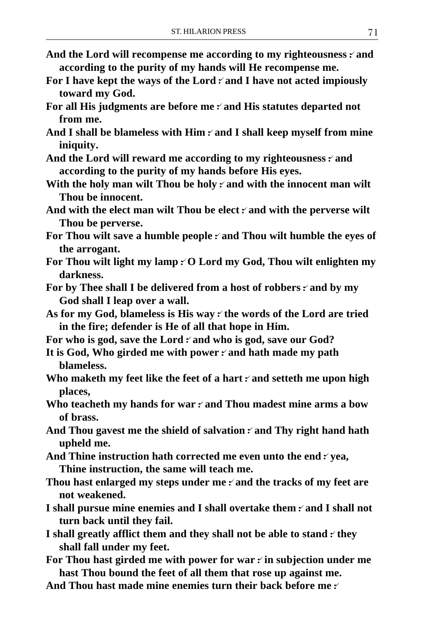- **And the Lord will recompense me according to my righteousness and according to the purity of my hands will He recompense me.**
- **For I have kept the ways of the Lord and I have not acted impiously toward my God.**
- **For all His judgments are before me and His statutes departed not from me.**
- **And I shall be blameless with Him and I shall keep myself from mine iniquity.**
- **And the Lord will reward me according to my righteousness and according to the purity of my hands before His eyes.**
- with the holy man wilt Thou be holy  $\cdot$  and with the innocent man wilt **Thou be innocent.**
- And with the elect man wilt Thou be elect  $\cdot$  and with the perverse wilt **Thou be perverse.**
- **For Thou wilt save a humble people and Thou wilt humble the eyes of the arrogant.**
- **For Thou wilt light my lamp O Lord my God, Thou wilt enlighten my darkness.**
- **For by Thee shall I be delivered from a host of robbers and by my God shall I leap over a wall.**
- **As for my God, blameless is His way** -**the words of the Lord are tried in the fire; defender is He of all that hope in Him.**
- **For who is god, save the Lord and who is god, save our God?**
- **It is God, Who girded me with power and hath made my path blameless.**
- **Who maketh my feet like the feet of a hart and setteth me upon high places,**
- **Who teacheth my hands for war and Thou madest mine arms a bow of brass.**
- **And Thou gavest me the shield of salvation and Thy right hand hath upheld me.**
- **And Thine instruction hath corrected me even unto the end yea, Thine instruction, the same will teach me.**
- **Thou hast enlarged my steps under me and the tracks of my feet are not weakened.**
- **I** shall pursue mine enemies and I shall overtake them  $\cdot$  and I shall not **turn back until they fail.**
- I shall greatly afflict them and they shall not be able to stand  $\cdot$  they **shall fall under my feet.**
- **For Thou hast girded me with power for war** -**in subjection under me hast Thou bound the feet of all them that rose up against me.**
- And Thou hast made mine enemies turn their hack before me  $\leq$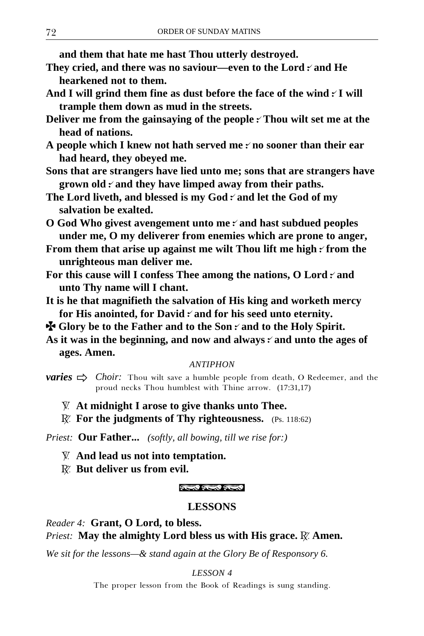**and them that hate me hast Thou utterly destroyed.**

- **They cried, and there was no saviour—even to the Lord and He hearkened not to them.**
- And I will grind them fine as dust before the face of the wind  $\cdot$  I will **trample them down as mud in the streets.**
- **Deliver me from the gainsaying of the people Thou wilt set me at the head of nations.**
- A people which I knew not hath served me  $\cdot$  no sooner than their ear **had heard, they obeyed me.**
- **Sons that are strangers have lied unto me; sons that are strangers have grown old** - **and they have limped away from their paths.**
- **The Lord liveth, and blessed is my God and let the God of my salvation be exalted.**
- **O God Who givest avengement unto me and hast subdued peoples under me, O my deliverer from enemies which are prone to anger,**
- **From them that arise up against me wilt Thou lift me high**  $\cdot$  **from the unrighteous man deliver me.**
- **For this cause will I confess Thee among the nations, O Lord**  $\epsilon$  and **unto Thy name will I chant.**
- **It is he that magnifieth the salvation of His king and worketh mercy for His anointed, for David** - **and for his seed unto eternity.**
- **EXECUTE: EXECUTE: EXECUTE: EXECUTE: EXECUTE: P** Glory be to the Father and to the Son and to the Holy Spirit.
- **As it was in the beginning, and now and always and unto the ages of ages. Amen.**

#### *ANTIPHON*

- $varies \Rightarrow$  *Choir:* Thou wilt save a humble people from death, O Redeemer, and the proud necks Thou humblest with Thine arrow. (17:31,17)
	- **At midnight I arose to give thanks unto Thee.**
	- R. For the judgments of Thy righteousness. (Ps. 118:62)

*Priest:* **Our Father...** *(softly, all bowing, till we rise for:)*

- **And lead us not into temptation.**
- R. But deliver us from evil.

#### **A REAL AREA**

#### **LESSONS**

*Reader 4:* **Grant, O Lord, to bless.**

*Priest:* May the almighty Lord bless us with His grace. R. Amen.

*We sit for the lessons—& stand again at the Glory Be of Responsory 6.*

#### *LESSON 4*

The proper lesson from the Book of Readings is sung standing.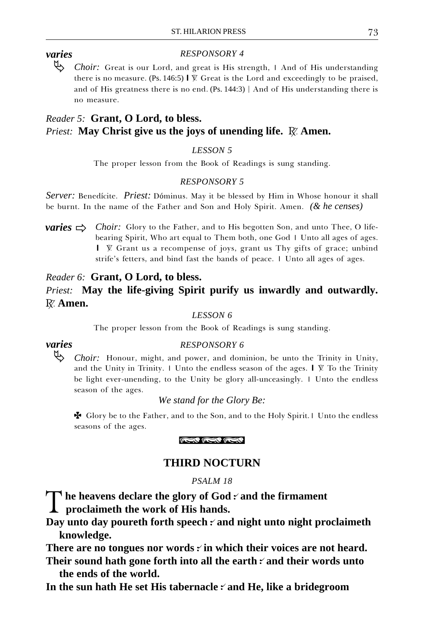#### varies

#### **RESPONSORY 4**

Ŀ, *Choir:* Great is our Lord, and great is His strength, 1 And of His understanding there is no measure. (Ps. 146:5)  $\parallel \mathcal{V}$  Great is the Lord and exceedingly to be praised, and of His greatness there is no end.  $(Ps. 144:3)$  | And of His understanding there is no measure.

## Reader 5: Grant, O Lord, to bless. *Priest:* May Christ give us the joys of unending life. R. Amen.

#### LESSON 5

The proper lesson from the Book of Readings is sung standing.

#### **RESPONSORY 5**

Server: Benedícite. Priest: Dóminus. May it be blessed by Him in Whose honour it shall be burnt. In the name of the Father and Son and Holy Spirit. Amen. (& he censes)

**varies**  $\implies$  *Choir:* Glory to the Father, and to His begotten Son, and unto Thee, O lifebearing Spirit, Who art equal to Them both, one God 1 Unto all ages of ages. | V. Grant us a recompense of joys, grant us Thy gifts of grace; unbind strife's fetters, and bind fast the bands of peace. 1 Unto all ages of ages.

## Reader 6: Grant, O Lord, to bless. Priest: May the life-giving Spirit purify us inwardly and outwardly.  $R$ . Amen.

#### LESSON 6

The proper lesson from the Book of Readings is sung standing.

#### varies

#### **RESPONSORY 6**

Ŀ *Choir:* Honour, might, and power, and dominion, be unto the Trinity in Unity, and the Unity in Trinity. 1 Unto the endless season of the ages.  $\mathbb{I} \times \mathbb{Y}$  To the Trinity be light ever-unending, to the Unity be glory all-unceasingly. I Unto the endless season of the ages.

#### We stand for the Glory Be:

Glory be to the Father, and to the Son, and to the Holy Spirit. I Unto the endless seasons of the ages.

## **READ FRAME READ**

## **THIRD NOCTURN**

#### PSALM 18

The heavens declare the glory of  $God$  : and the firmament

 $\perp$  proclaimeth the work of His hands.

Day unto day poureth forth speech : and night unto night proclaimeth knowledge.

There are no tongues nor words  $\cdot$  in which their voices are not heard.

Their sound hath gone forth into all the earth  $\zeta$  and their words unto the ends of the world.

In the sun hath He set His tabernacle : and He, like a bridegroom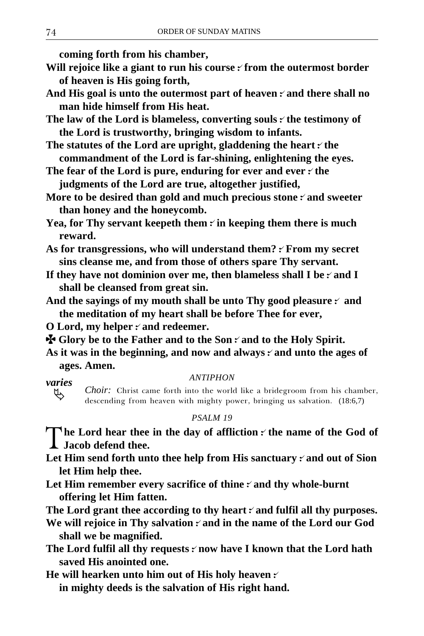**coming forth from his chamber,**

- **Will rejoice like a giant to run his course** -**from the outermost border of heaven is His going forth,**
- **And His goal is unto the outermost part of heaven and there shall no man hide himself from His heat.**
- **The law of the Lord is blameless, converting souls**-**the testimony of the Lord is trustworthy, bringing wisdom to infants.**
- **The statutes of the Lord are upright, gladdening the heart**  $\cdot$  the **commandment of the Lord is far-shining, enlightening the eyes.**
- **The fear of the Lord is pure, enduring for ever and ever**  $\cdot$  the **judgments of the Lord are true, altogether justified,**
- **More to be desired than gold and much precious stone and sweeter than honey and the honeycomb.**

**Yea, for Thy servant keepeth them** -**in keeping them there is much reward.**

- **As for transgressions, who will understand them? From my secret sins cleanse me, and from those of others spare Thy servant.**
- If they have not dominion over me, then blameless shall I be  $\epsilon$  and I **shall be cleansed from great sin.**
- **And the sayings of my mouth shall be unto Thy good pleasure** - **and the meditation of my heart shall be before Thee for ever,**
- **O Lord, my helper and redeemer.**
- **<del>■ Glory</del> be to the Father and to the Son**  $\cdot$  **and to the Holy Spirit.**

**As it was in the beginning, and now and always**- **and unto the ages of ages. Amen.**

*varies* Ų,

#### *ANTIPHON*

Choir: Christ came forth into the world like a bridegroom from his chamber, descending from heaven with mighty power, bringing us salvation. (18:6,7)

#### *PSALM 19*

The Lord hear thee in the day of affliction  $\cdot$  the name of the God of Jacob defend thee. **Jacob defend thee.**

**Let Him send forth unto thee help from His sanctuary**  $\cdot$  and out of Sion **let Him help thee.**

Let Him neft the.<br>Let Him remember every sacrifice of thine  $\epsilon$  and thy whole-burnt **offering let Him fatten.**

**The Lord grant thee according to thy heart**- **and fulfil all thy purposes.**

- **We will rejoice in Thy salvation and in the name of the Lord our God shall we be magnified.**
- **The Lord fulfil all thy requests now have I known that the Lord hath saved His anointed one.**

**He will hearken unto him out of His holy heaven in mighty deeds is the salvation of His right hand.**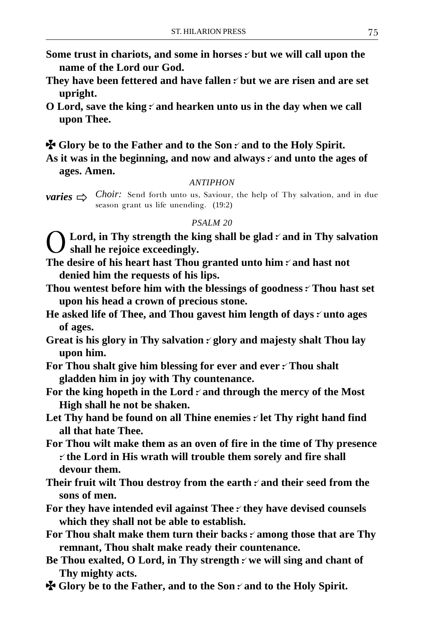- **Some trust in chariots, and some in horses but we will call upon the name of the Lord our God.**
- **They have been fettered and have fallen**  $\cdot$  but we are risen and are set **upright.**
- **O** Lord, save the king  $\cdot$  and hearken unto us in the day when we call **upon Thee.**

*M* **Glory be to the Father and to the Son - and to the Holy Spirit. As it was in the beginning, and now and always**- **and unto the ages of ages. Amen.**

#### *ANTIPHON*

*varies*  $\Rightarrow$  *Choir:* Send forth unto us, Saviour, the help of Thy salvation, and in due season grant us life unending. (19:2)

#### *PSALM 20*

 **Lord, in Thy strength the king shall be glad**  $\cdot$  and in Thy salvation shall be rejoice exceedingly. **shall he rejoice exceedingly.**

- **The desire of his heart hast Thou granted unto himeer and hast not denied him the requests of his lips.**
- **Thou wentest before him with the blessings of goodness Thou hast set upon his head a crown of precious stone.**
- **He asked life of Thee, and Thou gavest him length of days unto ages of ages.**
- **Great is his glory in Thy salvation glory and majesty shalt Thou lay upon him.**
- **For Thou shalt give him blessing for ever and ever . Thou shalt gladden him in joy with Thy countenance.**
- **For the king hopeth in the Lord and through the mercy of the Most High shall he not be shaken.**
- **Let Thy hand be found on all Thine enemies**-**let Thy right hand find all that hate Thee.**
- **For Thou wilt make them as an oven of fire in the time of Thy presence** -**the Lord in His wrath will trouble them sorely and fire shall devour them.**
- **Their fruit wilt Thou destroy from the earth**  $\cdot$  **and their seed from the sons of men.**
- **For they have intended evil against Thee** -**they have devised counsels which they shall not be able to establish.**
- **For Thou shalt make them turn their backs among those that are Thy remnant, Thou shalt make ready their countenance.**
- **Be Thou exalted, O Lord, in Thy strength**  $\cdot$  we will sing and chant of **Thy mighty acts.**
- **EXECUTE:** Glory be to the Father, and to the Son  $\epsilon$  and to the Holy Spirit.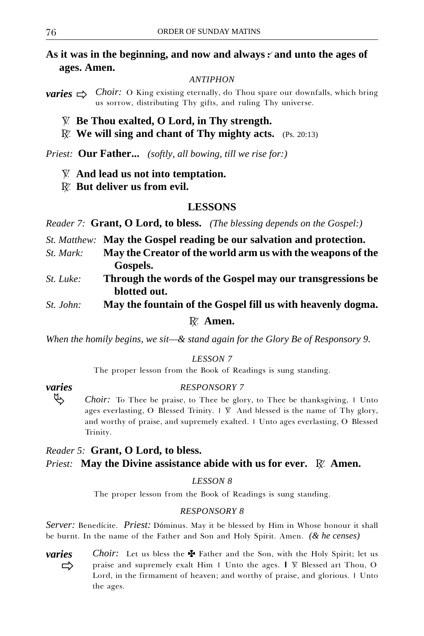As it was in the beginning, and now and always : and unto the ages of ages. Amen.

#### **ANTIPHON**

- *Choir*: O King existing eternally, do Thou spare our downfalls, which bring *varies*  $\Rightarrow$ us sorrow, distributing Thy gifts, and ruling Thy universe.
	- **W.** Be Thou exalted, O Lord, in Thy strength.
	- $R$ . We will sing and chant of Thy mighty acts.  $(P_S, 20:13)$

*Priest:* **Our Father...** (*softly, all bowing, till we rise for:*)

- $\mathcal{V}$ . And lead us not into temptation.
- R. But deliver us from evil.

## **LESSONS**

Reader 7: Grant, O Lord, to bless. (The blessing depends on the Gospel:)

- *St. Matthew:* May the Gospel reading be our salvation and protection.
- $St. Mark:$ May the Creator of the world arm us with the weapons of the Gospels.
- St. Luke: Through the words of the Gospel may our transgressions be blotted out.
- St. John: May the fountain of the Gospel fill us with heavenly dogma.

## R. Amen.

When the homily begins, we sit—& stand again for the Glory Be of Responsory 9.

#### **LESSON 7**

The proper lesson from the Book of Readings is sung standing.

#### varies Œ,

#### **RESPONSORY 7**

*Choir:* To Thee be praise, to Thee be glory, to Thee be thanksgiving, 1 Unto ages everlasting, O Blessed Trinity.  $\vert \nabla$ . And blessed is the name of Thy glory, and worthy of praise, and supremely exalted. 1 Unto ages everlasting, O Blessed Trinity.

## Reader 5: Grant, O Lord, to bless. *Priest:* May the Divine assistance abide with us for ever. R. Amen.

#### LESSON 8

The proper lesson from the Book of Readings is sung standing.

#### **RESPONSORY 8**

Server: Benedícite. Priest: Dóminus. May it be blessed by Him in Whose honour it shall be burnt. In the name of the Father and Son and Holy Spirit. Amen. (& he censes)

varies *Choir*: Let us bless the  $\clubsuit$  Father and the Son, with the Holy Spirit; let us ⇨ praise and supremely exalt Him 1 Unto the ages. I V. Blessed art Thou, O Lord, in the firmament of heaven; and worthy of praise, and glorious. 1 Unto the ages.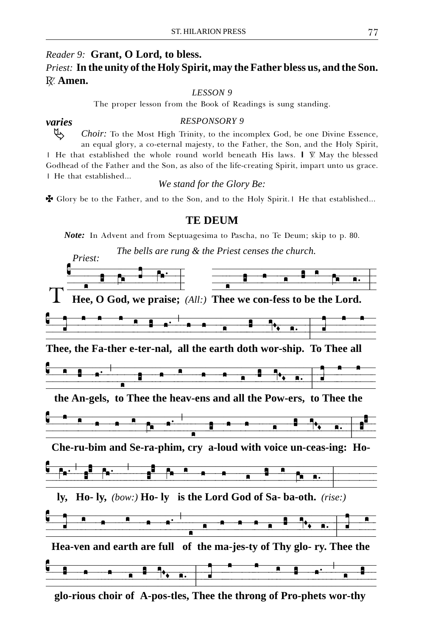## Reader 9: Grant, O Lord, to bless. *Priest:* In the unity of the Holy Spirit, may the Father bless us, and the Son.  $R$ . Amen.

#### LESSON 9

The proper lesson from the Book of Readings is sung standing.

varies

#### **RESPONSORY 9**

Ŀ, *Choir:* To the Most High Trinity, to the incomplex God, be one Divine Essence, an equal glory, a co-eternal majesty, to the Father, the Son, and the Holy Spirit, I He that established the whole round world beneath His laws.  $\mathbf{I} \times \mathbf{M}$  May the blessed Godhead of the Father and the Son, as also of the life-creating Spirit, impart unto us grace. I He that established...

#### We stand for the Glory Be:

☆ Glory be to the Father, and to the Son, and to the Holy Spirit. I He that established...

## **TE DEUM**

*Note:* In Advent and from Septuagesima to Pascha, no Te Deum; skip to p. 80.



glo-rious choir of A-pos-tles, Thee the throng of Pro-phets wor-thy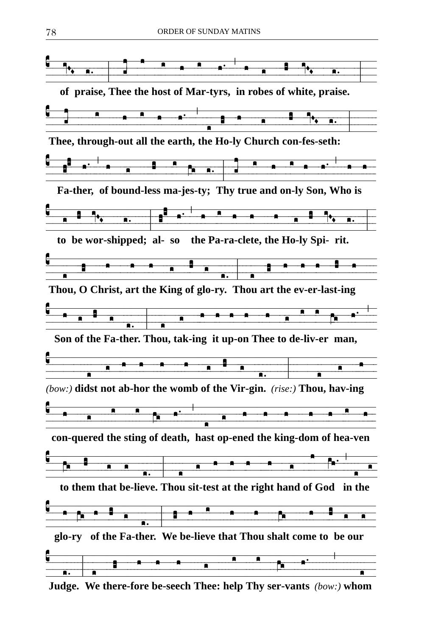

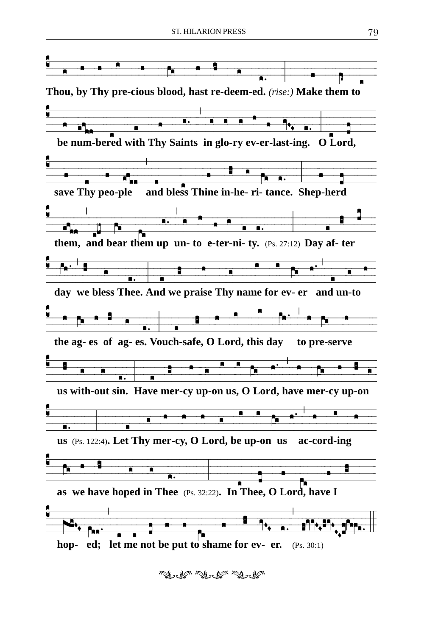

\*\*\*\*\*\*\*\*\*\*\*\*\*\*\*\*\*\*\*\*\*\*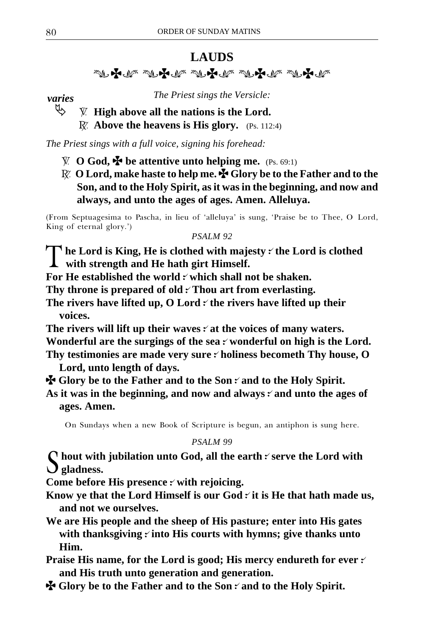## **LAUDS**

# \*\*\*\*\*\*\*\*\*\*\*\*\*\*\*\*\*\*\*\*\*\*\*\*\*\*\*\*\*\*\*\*

*varies*

*The Priest sings the Versicle:*

- **High above all the nations is the Lord.** Ъ
	- R. Above the heavens is His glory. (Ps. 112:4)

*The Priest sings with a full voice, signing his forehead:*

- $\mathbb{V}$  **O God,**  $\blacktriangleright$  **be attentive unto helping me.** (Ps. 69:1)
- - **O Lord, make haste to help me. Glory be to the Father and to the Son, and to the Holy Spirit, as it was in the beginning, and now and always, and unto the ages of ages. Amen. Alleluya.**

(From Septuagesima to Pascha, in lieu of 'alleluya' is sung, 'Praise be to Thee, O Lord, King of eternal glory.')

## *PSALM 92*

The Lord is King, He is clothed with majesty  $\cdot$  the Lord is clothed<br>with strength and He hath girt Himself. **with strength and He hath girt Himself.**

**For He established the world** - **which shall not be shaken.**

**Thy throne is prepared of old** - **Thou art from everlasting.**

**Thy direct is prepared of our conduct from eventually.**<br>The rivers have lifted up, O Lord  $\epsilon$  the rivers have lifted up their **voices.**

**The rivers will lift up their waves**- **at the voices of many waters.** Fire Fivers will lift up their waves can the voices of many waters.<br>Wonderful are the surgings of the sea  $\epsilon$  wonderful on high is the Lord. **Thy testimonies are made very sure** - **holiness becometh Thy house, O**

**Lord, unto length of days.**

**<del>■ Glory</del> be to the Father and to the Son - and to the Holy Spirit.** 

**As it was in the beginning, and now and always**- **and unto the ages of ages. Amen.**

On Sundays when a new Book of Scripture is begun, an antiphon is sung here.

## *PSALM 99*

## Shout with jubilation unto God, all the earth  $\cdot$  serve the Lord with gladness. **gladness.**

**Come before His presence** - **with rejoicing.**

**Know ye that the Lord Himself is our God** -**it is He that hath made us, and not we ourselves.**

**We are His people and the sheep of His pasture; enter into His gates with thanksgiving** -**into His courts with hymns; give thanks unto Him.**

**Praise His name, for the Lord is good; His mercy endureth for ever and His truth unto generation and generation.**

 **Glory be to the Father and to the Son** - **and to the Holy Spirit.**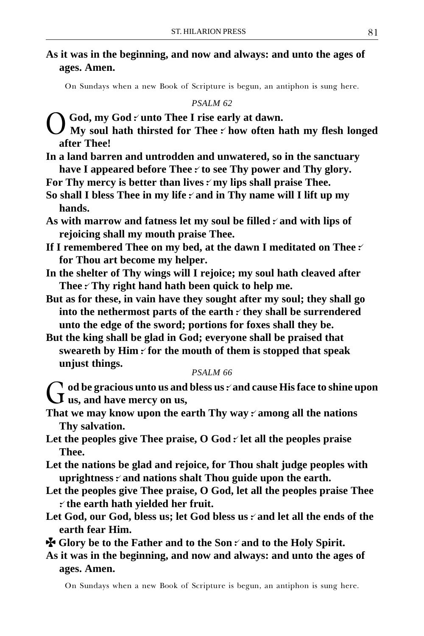**As it was in the beginning, and now and always: and unto the ages of ages. Amen.**

On Sundays when a new Book of Scripture is begun, an antiphon is sung here.

*PSALM 62*

- God, my God : unto Thee I rise early at dawn.<br> **C** My soul hath thirsted for Thee : how often h
- **My soul hath thirsted for Thee how often hath my flesh longed after Thee!**
- **In a land barren and untrodden and unwatered, so in the sanctuary have I appeared before Thee** -**to see Thy power and Thy glory.**
- **For Thy mercy is better than lives my lips shall praise Thee.**
- **So shall I bless Thee in my life and in Thy name will I lift up my hands.**

**As with marrow and fatness let my soul be filled** - **and with lips of rejoicing shall my mouth praise Thee.**

- **If I remembered Thee on my bed, at the dawn I meditated on Thee for Thou art become my helper.**
- **In the shelter of Thy wings will I rejoice; my soul hath cleaved after Thee** - **Thy right hand hath been quick to help me.**
- **But as for these, in vain have they sought after my soul; they shall go into the nethermost parts of the earth** -**they shall be surrendered unto the edge of the sword; portions for foxes shall they be.**
- **But the king shall be glad in God; everyone shall be praised that sweareth by Him** -**for the mouth of them is stopped that speak unjust things.**

#### *PSALM 66*

G od be gracious unto us and bless us  $\cdot$  and cause His face to shine upon<br>G us, and have mercy on us, **us, and have mercy on us,**

- **That we may know upon the earth Thy way**  $\epsilon$  among all the nations **Thy salvation.**
- **Let the peoples give Thee praise, O God**  $\epsilon$  let all the peoples praise **Thee.**
- **Let the nations be glad and rejoice, for Thou shalt judge peoples with uprightness**- **and nations shalt Thou guide upon the earth.**
- **Let the peoples give Thee praise, O God, let all the peoples praise Thee** -**the earth hath yielded her fruit.**
- **Let God, our God, bless us; let God bless us and let all the ends of the earth fear Him.**
- <del>■ Glory</del> be to the Father and to the Son  $\cdot$  and to the Holy Spirit.
- **As it was in the beginning, and now and always: and unto the ages of ages. Amen.**

On Sundays when a new Book of Scripture is begun, an antiphon is sung here.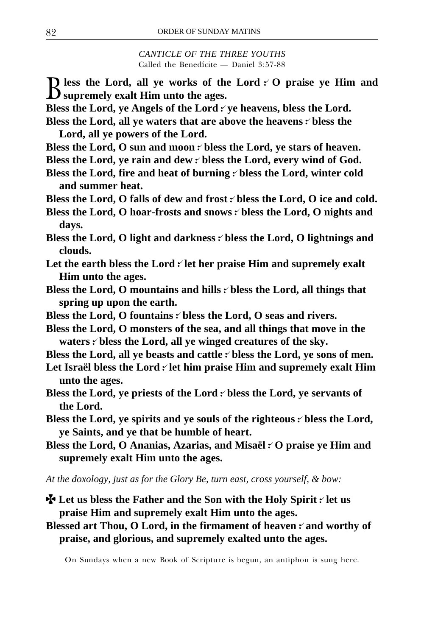*CANTICLE OF THE THREE YOUTHS* Called the Benedícite — Daniel  $3:57-88$ 

- **less the Lord, all ye works of the Lord**  $\leq$  O praise ye Him and Supremely exalt Him unto the ages. **supremely exalt Him unto the ages.**
- **Bless the Lord, ye Angels of the Lord ye heavens, bless the Lord.**
- **Bless the Lord, ye Angels of the Lord :** ye heavens, bless the Lord.<br>Bless the Lord, all ye waters that are above the heavens : bless the **Lord, all ye powers of the Lord.**
- **Bless the Lord, O sun and moon bless the Lord, ye stars of heaven.**
- **Bless the Lord, ye rain and dew bless the Lord, every wind of God.**
- **Bless the Lord, fire and heat of burning**  $\cdot$  bless the Lord, winter cold **and summer heat.**
- **Bless the Lord, O falls of dew and frost bless the Lord, O ice and cold.**
- **Bless the Lord, O hans of dew and frost: bless the Lord, O field cold**<br>Bless the Lord, O hoar-frosts and snows  $\cdot$  bless the Lord, O nights and **days.**
- **Bless the Lord, O light and darkness bless the Lord, O lightnings and clouds.**
- **Let the earth bless the Lord** -**let her praise Him and supremely exalt Him unto the ages.**
- **Bless the Lord, O mountains and hills bless the Lord, all things that spring up upon the earth.**
- **Bless the Lord, O fountains bless the Lord, O seas and rivers.**
- **Bless the Lord, O monsters of the sea, and all things that move in the waters**- **bless the Lord, all ye winged creatures of the sky.**
- **Bless the Lord, all ye beasts and cattle bless the Lord, ye sons of men.**
- **Let Israël bless the Lord** -**let him praise Him and supremely exalt Him unto the ages.**
- **Bless the Lord, ye priests of the Lord bless the Lord, ye servants of the Lord.**
- **Bless the Lord, ye spirits and ye souls of the righteous bless the Lord, ye Saints, and ye that be humble of heart.**
- **Bless the Lord, O Ananias, Azarias, and Misaël O praise ye Him and supremely exalt Him unto the ages.**

*At the doxology, just as for the Glory Be, turn east, cross yourself, & bow:*

- **Let us bless the Father and the Son with the Holy Spirit**-**let us praise Him and supremely exalt Him unto the ages.**
- **Blessed art Thou, O Lord, in the firmament of heaven and worthy of praise, and glorious, and supremely exalted unto the ages.**

On Sundays when a new Book of Scripture is begun, an antiphon is sung here.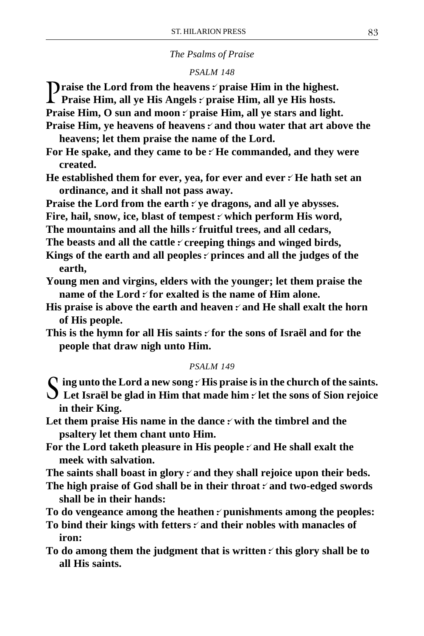#### *The Psalms of Praise*

#### *PSALM 148*

**Praise the Lord from the heavens**: praise Him in the highest.<br> **Praise Him, all ye His Angels: praise Him, all ye His hosts.** 

- **Praise Him, all ye His Angels praise Him, all ye His hosts.**
- **Praise Him, an ye rus Angels C praise Him, an ye rus hosts.**<br>Praise Him, O sun and moon praise Him, all ye stars and light.
- **Praise Him, ye heavens of heavens and thou water that art above the heavens; let them praise the name of the Lord.**
- **For He spake, and they came to be He commanded, and they were created.**
- **He established them for ever, yea, for ever and ever He hath set an ordinance, and it shall not pass away.**
- **Praise the Lord from the earth ye dragons, and all ye abysses.**
- **Fire, hail, snow, ice, blast of tempest which perform His word,**
- **The mountains and all the hills**-**fruitful trees, and all cedars,**
- **The beasts and all the cattle creeping things and winged birds,**
- **Kings of the earth and all peoples princes and all the judges of the earth,**
- **Young men and virgins, elders with the younger; let them praise the name of the Lord** -**for exalted is the name of Him alone.**
- **His praise is above the earth and heaven and He shall exalt the horn of His people.**
- **This is the hymn for all His saints**-**for the sons of Israël and for the people that draw nigh unto Him.**

#### *PSALM 149*

 $\bf{C}$  ing unto the Lord a new song  $\cdot$  His praise is in the church of the saints.

- $\int$  ing unto the Lord a new song His praise is in the church of the saints.<br>I Let Israël be glad in Him that made him let the sons of Sion rejoice **in their King.**
- **Let them praise His name in the dance**  $\cdot$  with the timbrel and the **psaltery let them chant unto Him.**
- **For the Lord taketh pleasure in His people and He shall exalt the meek with salvation.**
- **The saints shall boast in glory and they shall rejoice upon their beds.**
- **The high praise of God shall be in their throat and two-edged swords shall be in their hands:**
- **To do vengeance among the heathen punishments among the peoples:**
- **To bind their kings with fetters and their nobles with manacles of iron:**
- **To do among them the judgment that is written** -**this glory shall be to all His saints.**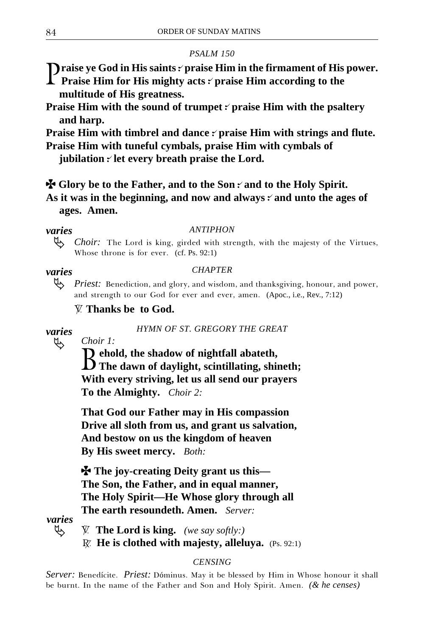#### *PSALM 150*

**Praise ye God in His saints**: praise Him in the firmament of His power.<br>Praise Him for His mighty acts: praise Him according to the

- **Praise Him for His mighty acts praise Him according to the multitude of His greatness.**
- **Praise Him with the sound of trumpet praise Him with the psaltery and harp.**

**Praise Him with timbrel and dance** - **praise Him with strings and flute.**

**Praise Him with tuneful cymbals, praise Him with cymbals of jubilation** -**let every breath praise the Lord.**

*M* **Glory be to the Father, and to the Son - and to the Holy Spirit. As it was in the beginning, and now and always**- **and unto the ages of ages. Amen.**

*varies*

#### *ANTIPHON*

Choir: The Lord is king, girded with strength, with the majesty of the Virtues, Whose throne is for ever. (cf. Ps. 92:1) Œ,

### *varies*

#### *CHAPTER*

Priest: Benediction, and glory, and wisdom, and thanksgiving, honour, and power, and strength to our God for ever and ever, amen. (Apoc., i.e., Rev., 7:12) Ų,

**Thanks be to God.**

*Choir 1:*

*HYMN OF ST. GREGORY THE GREAT*

*varies* Ų,

**ehold, the shadow of nightfall abateth, The dawn of daylight, scintillating, shineth; With every striving, let us all send our prayers To the Almighty.** *Choir 2:*

**That God our Father may in His compassion Drive all sloth from us, and grant us salvation, And bestow on us the kingdom of heaven By His sweet mercy.** *Both:*

 **The joy-creating Deity grant us this— The Son, the Father, and in equal manner, The Holy Spirit—He Whose glory through all The earth resoundeth. Amen.** *Server:*

*varies* Ų,

 **The Lord is king.** *(we say softly:)*

R. He is clothed with majesty, alleluya. (Ps. 92:1)

#### *CENSING*

Server: Benedícite. Priest: Dóminus. May it be blessed by Him in Whose honour it shal be burnt. In the name of the Father and Son and Holy Spirit. Amen. (& he censes)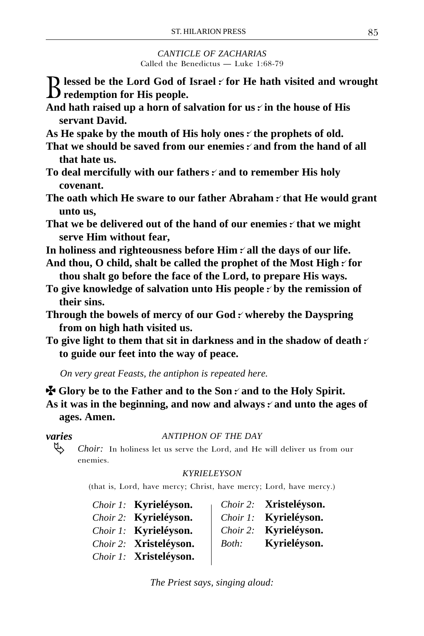*CANTICLE OF ZACHARIAS* Called the Benedictus — Luke  $1:68-79$ 

- **lessed be the Lord God of Israel**: for He hath visited and wrought redemption for His people. **redemption for His people.**
- **And hath raised up a horn of salvation for us**-**in the house of His servant David.**
- **As He spake by the mouth of His holy ones**-**the prophets of old.**
- **That we should be saved from our enemies and from the hand of all that hate us.**
- **To deal mercifully with our fathers and to remember His holy covenant.**
- **The oath which He sware to our father Abraham : that He would grant unto us,**
- **That we be delivered out of the hand of our enemies**-**that we might serve Him without fear,**
- In holiness and righteousness before Him  $\cdot$  all the days of our life.
- **And thou, O child, shalt be called the prophet of the Most High** -**for thou shalt go before the face of the Lord, to prepare His ways.**
- **To give knowledge of salvation unto His people by the remission of their sins.**
- **Through the bowels of mercy of our God** : whereby the Dayspring **from on high hath visited us.**
- **To give light to them that sit in darkness and in the shadow of death to guide our feet into the way of peace.**

*On very great Feasts, the antiphon is repeated here.*

*M* **Glory be to the Father and to the Son - and to the Holy Spirit. As it was in the beginning, and now and always**- **and unto the ages of ages. Amen.**

## *varies*

## *ANTIPHON OF THE DAY*

Choir: In holiness let us serve the Lord, and He will deliver us from our enemies. Ŀ,

## *KYRIELEYSON*

(that is, Lord, have mercy; Christ, have mercy; Lord, have mercy.)

| Choir 1: Kyrieléyson.  |       | Choir 2: Xristeléyson. |
|------------------------|-------|------------------------|
| Choir 2: Kyrieléyson.  |       | Choir 1: Kyrieléyson.  |
| Choir 1: Kyrieléyson.  |       | Choir 2: Kyrieléyson.  |
| Choir 2: Xristeléyson. | Both: | Kyrieléyson.           |
| Choir 1: Xristeléyson. |       |                        |

*The Priest says, singing aloud:*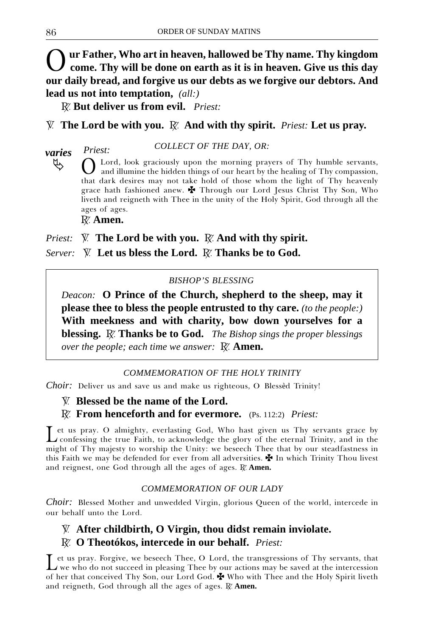ur Father, Who art in heaven, hallowed be Thy name. Thy kingdom come. Thy will be done on earth as it is in heaven. Give us this day our daily bread, and forgive us our debts as we forgive our debtors. And lead us not into temptation,  $\left(\text{all:}\right)$ 

R. But deliver us from evil. *Priest:* 

## $\mathbb{V}$ . The Lord be with you.  $\mathbb{R}^{\prime}$ . And with thy spirit. *Priest:* Let us pray.

COLLECT OF THE DAY, OR: Priest: varies Lord, look graciously upon the morning prayers of Thy humble servants, Ų, and illumine the hidden things of our heart by the healing of Thy compassion, that dark desires may not take hold of those whom the light of Thy heavenly grace hath fashioned anew.  $\clubsuit$  Through our Lord Jesus Christ Thy Son, Who liveth and reigneth with Thee in the unity of the Holy Spirit, God through all the ages of ages. R. Amen.

*Priest:*  $\mathbb{V}$ . The Lord be with you.  $\mathbb{R}$ . And with thy spirit.

Server:  $\check{V}$ . Let us bless the Lord. R. Thanks be to God.

### **BISHOP'S BLESSING**

Deacon: O Prince of the Church, shepherd to the sheep, may it **please thee to bless the people entrusted to thy care.** (to the people:) With meekness and with charity, bow down yourselves for a **blessing.** R. Thanks be to God. The Bishop sings the proper blessings over the people; each time we answer:  $\mathbb{R}^{\prime}$ . **Amen.** 

#### **COMMEMORATION OF THE HOLY TRINITY**

*Choir*: Deliver us and save us and make us righteous, O Blessed Trinity!

## V. Blessed be the name of the Lord.

#### R. From henceforth and for evermore. (Ps. 112:2) Priest:

Let us pray. O almighty, everlasting God, Who hast given us Thy servants grace by confessing the true Faith, to acknowledge the glory of the eternal Trinity, and in the might of Thy majesty to worship the Unity: we beseech Thee that by our steadfastness in this Faith we may be defended for ever from all adversities.  $\blacktriangleright$  In which Trinity Thou livest and reignest, one God through all the ages of ages. R. Amen.

#### **COMMEMORATION OF OUR LADY**

*Choir:* Blessed Mother and unwedded Virgin, glorious Queen of the world, intercede in our behalf unto the Lord.

## $\mathbb{V}$  After childbirth, O Virgin, thou didst remain inviolate. R. O Theotókos, intercede in our behalf. Priest:

et us pray. Forgive, we beseech Thee, O Lord, the transgressions of Thy servants, that we who do not succeed in pleasing Thee by our actions may be saved at the intercession of her that conceived Thy Son, our Lord God.  $\clubsuit$  Who with Thee and the Holy Spirit liveth and reigneth, God through all the ages of ages. R. Amen.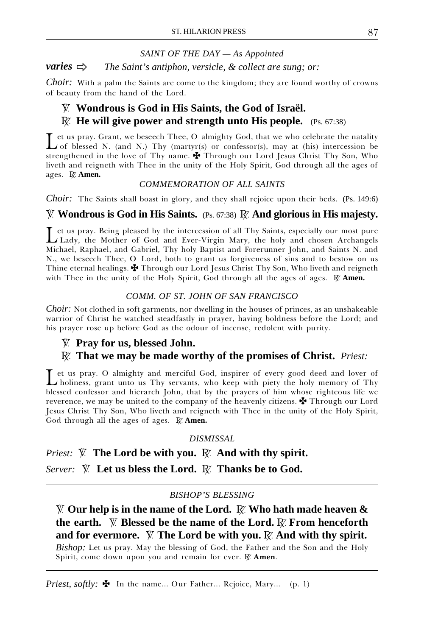#### SAINT OF THE DAY - As Appointed

#### *varies*  $\Rightarrow$ The Saint's antiphon, versicle, & collect are sung; or:

*Choir:* With a palm the Saints are come to the kingdom; they are found worthy of crowns of beauty from the hand of the Lord.

## V Wondrous is God in His Saints, the God of Israël.  $R\hat{X}$ . He will give power and strength unto His people. (Ps. 67:38)

et us pray. Grant, we beseech Thee, O almighty God, that we who celebrate the natality L of blessed N. (and N.) Thy (martyr(s) or confessor(s), may at (his) intercession be strengthened in the love of Thy name.  $\blacktriangleright$  Through our Lord Jesus Christ Thy Son, Who liveth and reigneth with Thee in the unity of the Holy Spirit, God through all the ages of ages. R. Amen.

#### **COMMEMORATION OF ALL SAINTS**

*Choir:* The Saints shall boast in glory, and they shall rejoice upon their beds. (Ps. 149:6)

### $\mathcal Y$ . Wondrous is God in His Saints. (Ps. 67:38)  $\mathcal X$ . And glorious in His majesty.

et us pray. Being pleased by the intercession of all Thy Saints, especially our most pure Lidy, the Mother of God and Ever-Virgin Mary, the holy and chosen Archangels Michael, Raphael, and Gabriel, Thy holy Baptist and Forerunner John, and Saints N. and N., we beseech Thee, O Lord, both to grant us forgiveness of sins and to bestow on us Thine eternal healings.  $\blacktriangleright$  Through our Lord Jesus Christ Thy Son, Who liveth and reigneth with Thee in the unity of the Holy Spirit, God through all the ages of ages. R. Amen.

#### COMM. OF ST. JOHN OF SAN FRANCISCO

*Choir*: Not clothed in soft garments, nor dwelling in the houses of princes, as an unshakeable warrior of Christ he watched steadfastly in prayer, having boldness before the Lord; and his prayer rose up before God as the odour of incense, redolent with purity.

#### *V.* Pray for us, blessed John.

### R. That we may be made worthy of the promises of Christ. Priest:

et us pray. O almighty and merciful God, inspirer of every good deed and lover of L holiness, grant unto us Thy servants, who keep with piety the holy memory of Thy blessed confessor and hierarch John, that by the prayers of him whose righteous life we reverence, we may be united to the company of the heavenly citizens.  $\blacktriangleright$  Through our Lord Jesus Christ Thy Son, Who liveth and reigneth with Thee in the unity of the Holy Spirit, God through all the ages of ages. R. Amen.

#### **DISMISSAL**

## *Priest:*  $\mathbb{V}$  The Lord be with you.  $\mathbb{R}$  And with thy spirit. Server:  $\mathbb{V}$ . Let us bless the Lord. R. Thanks be to God.

#### **BISHOP'S BLESSING**

 $\mathbb{V}$  Our help is in the name of the Lord.  $\mathbb{R}$  Who hath made heaven & the earth.  $\mathbb{V}$  Blessed be the name of the Lord. R. From henceforth and for evermore.  $\mathbb{V}$ . The Lord be with you.  $\mathbb{R}^{\prime}$ . And with thy spirit. Bishop: Let us pray. May the blessing of God, the Father and the Son and the Holy Spirit, come down upon you and remain for ever. R. Amen.

*Priest, softly:*  $\bullet$  In the name... Our Father... Rejoice, Mary... (p. 1)